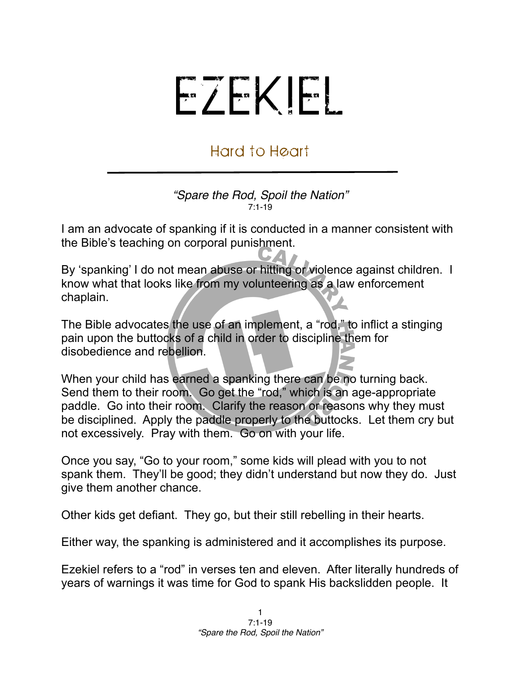## EZEKIEL

## Hard to Heart

*"Spare the Rod, Spoil the Nation"* 7:1-19

I am an advocate of spanking if it is conducted in a manner consistent with the Bible's teaching on corporal punishment.

By 'spanking' I do not mean abuse or hitting or violence against children. I know what that looks like from my volunteering as a law enforcement chaplain.

The Bible advocates the use of an implement, a "rod," to inflict a stinging pain upon the buttocks of a child in order to discipline them for disobedience and rebellion.

When your child has earned a spanking there can be no turning back. Send them to their room. Go get the "rod," which is an age-appropriate paddle. Go into their room. Clarify the reason or reasons why they must be disciplined. Apply the paddle properly to the buttocks. Let them cry but not excessively. Pray with them. Go on with your life.

Once you say, "Go to your room," some kids will plead with you to not spank them. They'll be good; they didn't understand but now they do. Just give them another chance.

Other kids get defiant. They go, but their still rebelling in their hearts.

Either way, the spanking is administered and it accomplishes its purpose.

Ezekiel refers to a "rod" in verses ten and eleven. After literally hundreds of years of warnings it was time for God to spank His backslidden people. It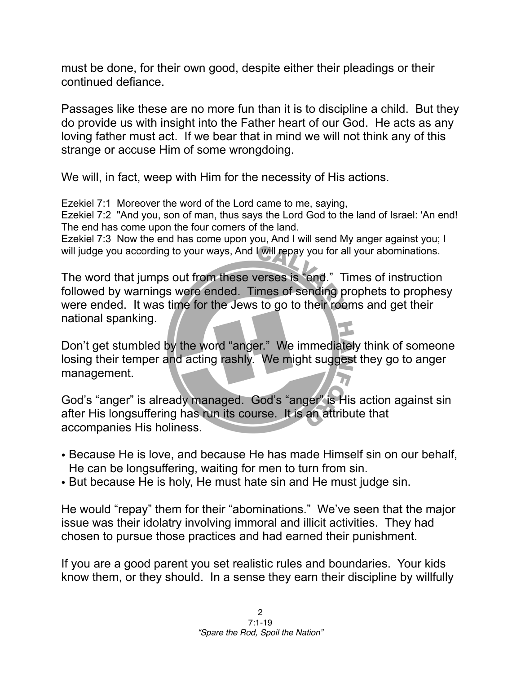must be done, for their own good, despite either their pleadings or their continued defiance.

Passages like these are no more fun than it is to discipline a child. But they do provide us with insight into the Father heart of our God. He acts as any loving father must act. If we bear that in mind we will not think any of this strange or accuse Him of some wrongdoing.

We will, in fact, weep with Him for the necessity of His actions.

Ezekiel 7:1 Moreover the word of the Lord came to me, saying,

Ezekiel 7:2 "And you, son of man, thus says the Lord God to the land of Israel: 'An end! The end has come upon the four corners of the land.

Ezekiel 7:3 Now the end has come upon you, And I will send My anger against you; I will judge you according to your ways, And I will repay you for all your abominations.

The word that jumps out from these verses is "end." Times of instruction followed by warnings were ended. Times of sending prophets to prophesy were ended. It was time for the Jews to go to their rooms and get their national spanking.

Don't get stumbled by the word "anger." We immediately think of someone losing their temper and acting rashly. We might suggest they go to anger management.

God's "anger" is already managed. God's "anger" is His action against sin after His longsuffering has run its course. It is an attribute that accompanies His holiness.

- Because He is love, and because He has made Himself sin on our behalf, He can be longsuffering, waiting for men to turn from sin.
- But because He is holy, He must hate sin and He must judge sin.

He would "repay" them for their "abominations." We've seen that the major issue was their idolatry involving immoral and illicit activities. They had chosen to pursue those practices and had earned their punishment.

If you are a good parent you set realistic rules and boundaries. Your kids know them, or they should. In a sense they earn their discipline by willfully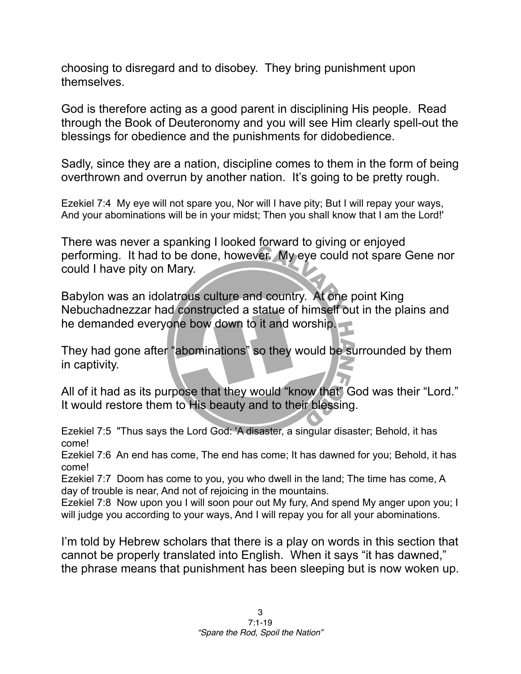choosing to disregard and to disobey. They bring punishment upon themselves.

God is therefore acting as a good parent in disciplining His people. Read through the Book of Deuteronomy and you will see Him clearly spell-out the blessings for obedience and the punishments for didobedience.

Sadly, since they are a nation, discipline comes to them in the form of being overthrown and overrun by another nation. It's going to be pretty rough.

Ezekiel 7:4 My eye will not spare you, Nor will I have pity; But I will repay your ways, And your abominations will be in your midst; Then you shall know that I am the Lord!'

There was never a spanking I looked forward to giving or enjoyed performing. It had to be done, however. My eye could not spare Gene nor could I have pity on Mary.

Babylon was an idolatrous culture and country. At one point King Nebuchadnezzar had constructed a statue of himself out in the plains and he demanded everyone bow down to it and worship.

They had gone after "abominations" so they would be surrounded by them in captivity.

All of it had as its purpose that they would "know that" God was their "Lord." It would restore them to His beauty and to their blessing.

Ezekiel 7:5 "Thus says the Lord God: 'A disaster, a singular disaster; Behold, it has come!

Ezekiel 7:6 An end has come, The end has come; It has dawned for you; Behold, it has come!

Ezekiel 7:7 Doom has come to you, you who dwell in the land; The time has come, A day of trouble is near, And not of rejoicing in the mountains.

Ezekiel 7:8 Now upon you I will soon pour out My fury, And spend My anger upon you; I will judge you according to your ways, And I will repay you for all your abominations.

I'm told by Hebrew scholars that there is a play on words in this section that cannot be properly translated into English. When it says "it has dawned," the phrase means that punishment has been sleeping but is now woken up.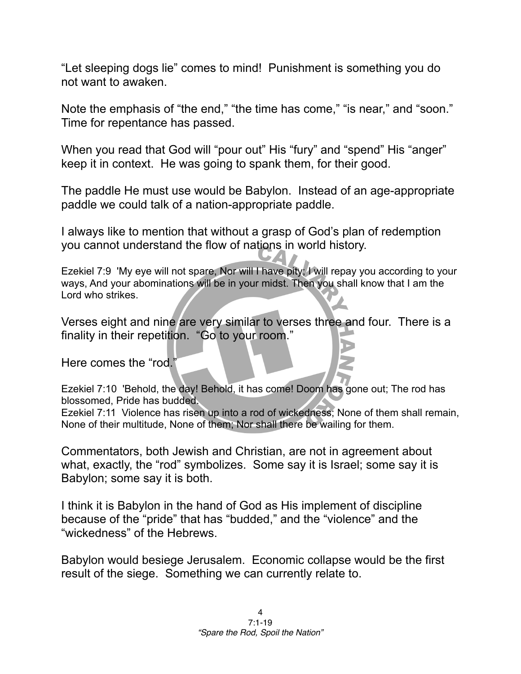"Let sleeping dogs lie" comes to mind! Punishment is something you do not want to awaken.

Note the emphasis of "the end," "the time has come," "is near," and "soon." Time for repentance has passed.

When you read that God will "pour out" His "fury" and "spend" His "anger" keep it in context. He was going to spank them, for their good.

The paddle He must use would be Babylon. Instead of an age-appropriate paddle we could talk of a nation-appropriate paddle.

I always like to mention that without a grasp of God's plan of redemption you cannot understand the flow of nations in world history.

Ezekiel 7:9 'My eye will not spare, Nor will I have pity; I will repay you according to your ways, And your abominations will be in your midst. Then you shall know that I am the Lord who strikes.

Verses eight and nine are very similar to verses three and four. There is a finality in their repetition. "Go to your room."

Here comes the "rod."

Ezekiel 7:10 'Behold, the day! Behold, it has come! Doom has gone out; The rod has blossomed, Pride has budded.

Ezekiel 7:11 Violence has risen up into a rod of wickedness; None of them shall remain, None of their multitude, None of them; Nor shall there be wailing for them.

Commentators, both Jewish and Christian, are not in agreement about what, exactly, the "rod" symbolizes. Some say it is Israel; some say it is Babylon; some say it is both.

I think it is Babylon in the hand of God as His implement of discipline because of the "pride" that has "budded," and the "violence" and the "wickedness" of the Hebrews.

Babylon would besiege Jerusalem. Economic collapse would be the first result of the siege. Something we can currently relate to.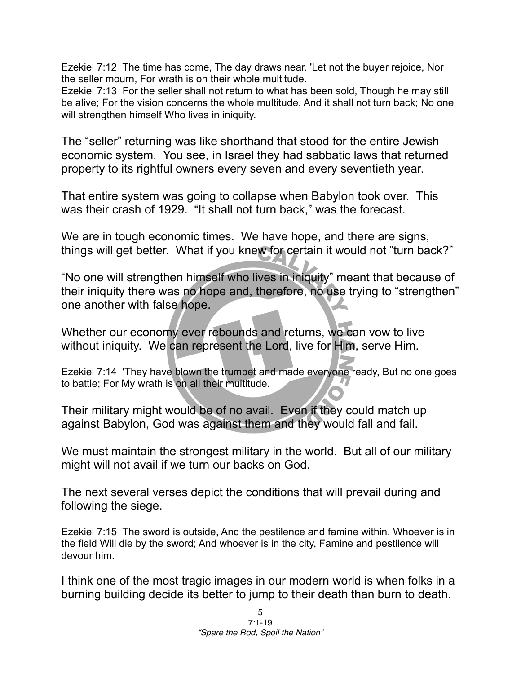Ezekiel 7:12 The time has come, The day draws near. 'Let not the buyer rejoice, Nor the seller mourn, For wrath is on their whole multitude.

Ezekiel 7:13 For the seller shall not return to what has been sold, Though he may still be alive; For the vision concerns the whole multitude, And it shall not turn back; No one will strengthen himself Who lives in iniquity.

The "seller" returning was like shorthand that stood for the entire Jewish economic system. You see, in Israel they had sabbatic laws that returned property to its rightful owners every seven and every seventieth year.

That entire system was going to collapse when Babylon took over. This was their crash of 1929. "It shall not turn back," was the forecast.

We are in tough economic times. We have hope, and there are signs, things will get better. What if you knew for certain it would not "turn back?"

"No one will strengthen himself who lives in iniquity" meant that because of their iniquity there was no hope and, therefore, no use trying to "strengthen" one another with false hope.

Whether our economy ever rebounds and returns, we can vow to live without iniquity. We can represent the Lord, live for Him, serve Him.

Ezekiel 7:14 'They have blown the trumpet and made everyone ready, But no one goes to battle; For My wrath is on all their multitude.

Their military might would be of no avail. Even if they could match up against Babylon, God was against them and they would fall and fail.

We must maintain the strongest military in the world. But all of our military might will not avail if we turn our backs on God.

The next several verses depict the conditions that will prevail during and following the siege.

Ezekiel 7:15 The sword is outside, And the pestilence and famine within. Whoever is in the field Will die by the sword; And whoever is in the city, Famine and pestilence will devour him.

I think one of the most tragic images in our modern world is when folks in a burning building decide its better to jump to their death than burn to death.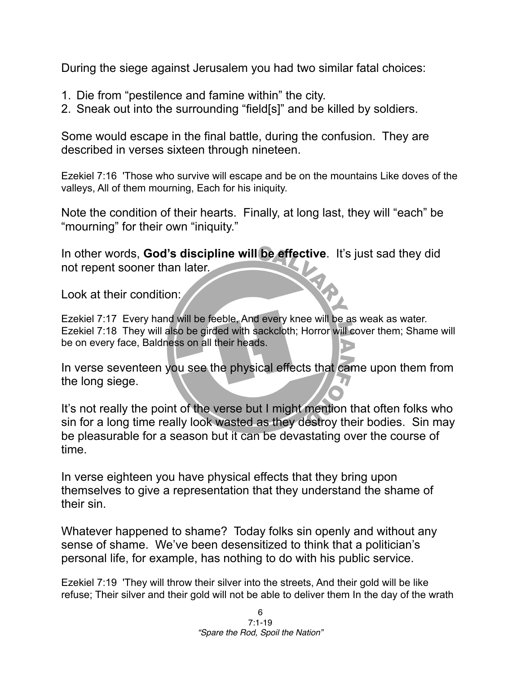During the siege against Jerusalem you had two similar fatal choices:

- 1. Die from "pestilence and famine within" the city.
- 2. Sneak out into the surrounding "field[s]" and be killed by soldiers.

Some would escape in the final battle, during the confusion. They are described in verses sixteen through nineteen.

Ezekiel 7:16 'Those who survive will escape and be on the mountains Like doves of the valleys, All of them mourning, Each for his iniquity.

Note the condition of their hearts. Finally, at long last, they will "each" be "mourning" for their own "iniquity."

In other words, **God's discipline will be effective**. It's just sad they did not repent sooner than later.

Look at their condition:

Ezekiel 7:17 Every hand will be feeble, And every knee will be as weak as water. Ezekiel 7:18 They will also be girded with sackcloth; Horror will cover them; Shame will be on every face, Baldness on all their heads.

In verse seventeen you see the physical effects that came upon them from the long siege.

It's not really the point of the verse but I might mention that often folks who sin for a long time really look wasted as they destroy their bodies. Sin may be pleasurable for a season but it can be devastating over the course of time.

In verse eighteen you have physical effects that they bring upon themselves to give a representation that they understand the shame of their sin.

Whatever happened to shame? Today folks sin openly and without any sense of shame. We've been desensitized to think that a politician's personal life, for example, has nothing to do with his public service.

Ezekiel 7:19 'They will throw their silver into the streets, And their gold will be like refuse; Their silver and their gold will not be able to deliver them In the day of the wrath